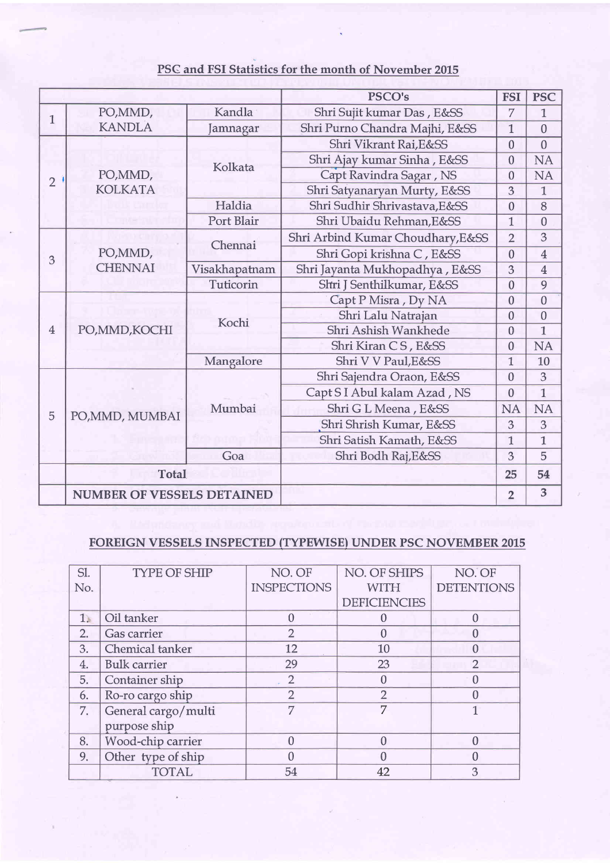## PSC and FSI Statistics for the month of November 2015

|                |                                   |               | <b>PSCO's</b>                                                                                                                                                                                                                                                                                                                                                                     | <b>FSI</b>     | <b>PSC</b>     |
|----------------|-----------------------------------|---------------|-----------------------------------------------------------------------------------------------------------------------------------------------------------------------------------------------------------------------------------------------------------------------------------------------------------------------------------------------------------------------------------|----------------|----------------|
| 1              | PO, MMD,                          | Kandla        | Shri Sujit kumar Das, E&SS                                                                                                                                                                                                                                                                                                                                                        |                | $\mathbf{1}$   |
|                | <b>KANDLA</b><br>Jamnagar         |               | Shri Purno Chandra Majhi, E&SS                                                                                                                                                                                                                                                                                                                                                    | 1              | $\overline{0}$ |
| $\overline{2}$ | PO, MMD,<br><b>KOLKATA</b>        | Kolkata       | Shri Vikrant Rai, E&SS                                                                                                                                                                                                                                                                                                                                                            | $\overline{0}$ | $\overline{0}$ |
|                |                                   |               | Shri Ajay kumar Sinha, E&SS                                                                                                                                                                                                                                                                                                                                                       | $\overline{0}$ | <b>NA</b>      |
|                |                                   |               | Capt Ravindra Sagar, NS                                                                                                                                                                                                                                                                                                                                                           | $\overline{0}$ | <b>NA</b>      |
|                |                                   |               | Shri Satyanaryan Murty, E&SS                                                                                                                                                                                                                                                                                                                                                      | 3              | $\overline{1}$ |
|                |                                   | Haldia        | Shri Sudhir Shrivastava, E&SS                                                                                                                                                                                                                                                                                                                                                     | $\overline{0}$ | 8              |
|                |                                   | Port Blair    | Shri Ubaidu Rehman, E&SS                                                                                                                                                                                                                                                                                                                                                          | $\mathbf{1}$   | $\overline{0}$ |
|                |                                   | Chennai       | Shri Arbind Kumar Choudhary, E&SS<br>Shri Gopi krishna C, E&SS<br>Shri J Senthilkumar, E&SS<br>Capt P Misra, Dy NA<br>Shri Lalu Natrajan<br>Shri Ashish Wankhede<br>Shri Kiran CS, E&SS<br>Shri V V Paul, E&SS<br>Shri Sajendra Oraon, E&SS<br>Capt S I Abul kalam Azad, NS<br>Shri G L Meena, E&SS<br>Shri Shrish Kumar, E&SS<br>Shri Satish Kamath, E&SS<br>Shri Bodh Raj, E&SS | $\overline{2}$ | $\overline{3}$ |
| 3              | PO, MMD,<br><b>CHENNAI</b>        |               |                                                                                                                                                                                                                                                                                                                                                                                   | $\overline{0}$ | $\overline{4}$ |
|                |                                   | Visakhapatnam | Shri Jayanta Mukhopadhya, E&SS                                                                                                                                                                                                                                                                                                                                                    | 3              | $\overline{4}$ |
|                |                                   | Tuticorin     |                                                                                                                                                                                                                                                                                                                                                                                   | $\overline{0}$ | 9              |
| $\overline{4}$ | PO, MMD, KOCHI                    | Kochi         |                                                                                                                                                                                                                                                                                                                                                                                   | $\overline{0}$ | $\overline{0}$ |
|                |                                   |               |                                                                                                                                                                                                                                                                                                                                                                                   | $\overline{0}$ | $\overline{0}$ |
|                |                                   |               |                                                                                                                                                                                                                                                                                                                                                                                   | $\overline{0}$ | $\mathbf{1}$   |
|                |                                   |               |                                                                                                                                                                                                                                                                                                                                                                                   | $\overline{0}$ | <b>NA</b>      |
|                |                                   | Mangalore     |                                                                                                                                                                                                                                                                                                                                                                                   | $\overline{1}$ | 10             |
|                | PO, MMD, MUMBAI                   | Mumbai        |                                                                                                                                                                                                                                                                                                                                                                                   | $\theta$       | 3              |
|                |                                   |               |                                                                                                                                                                                                                                                                                                                                                                                   | $\overline{0}$ | $\mathbf{1}$   |
| 5              |                                   |               |                                                                                                                                                                                                                                                                                                                                                                                   | <b>NA</b>      | <b>NA</b>      |
|                |                                   |               |                                                                                                                                                                                                                                                                                                                                                                                   | 3              | 3              |
|                |                                   |               |                                                                                                                                                                                                                                                                                                                                                                                   | $\overline{1}$ | $\mathbf{1}$   |
|                |                                   | Goa           |                                                                                                                                                                                                                                                                                                                                                                                   | 3              | 5              |
|                | <b>Total</b>                      |               |                                                                                                                                                                                                                                                                                                                                                                                   | 25             | 54             |
|                | <b>NUMBER OF VESSELS DETAINED</b> |               |                                                                                                                                                                                                                                                                                                                                                                                   | $\overline{2}$ | 3              |

## FOREIGN VESSELS INSPECTED (TYPEWISE) UNDER PSC NOVEMBER 2015

| SI. | <b>TYPE OF SHIP</b> | NO. OF             | NO. OF SHIPS        | NO. OF            |
|-----|---------------------|--------------------|---------------------|-------------------|
| No. |                     | <b>INSPECTIONS</b> | <b>WITH</b>         | <b>DETENTIONS</b> |
|     |                     |                    | <b>DEFICIENCIES</b> |                   |
| 1.  | Oil tanker          |                    |                     |                   |
| 2.  | <b>Gas carrier</b>  | $\mathcal{L}$      |                     |                   |
| 3.  | Chemical tanker     | 12                 | 10                  |                   |
| 4.  | <b>Bulk carrier</b> | 29                 | 23                  | $\mathcal{P}$     |
| 5.  | Container ship      | $\overline{2}$     | 0                   |                   |
| 6.  | Ro-ro cargo ship    | $\overline{2}$     | $\overline{2}$      |                   |
| 7.  | General cargo/multi | $\overline{7}$     | 7                   |                   |
|     | purpose ship        |                    |                     |                   |
| 8.  | Wood-chip carrier   |                    |                     |                   |
| 9.  | Other type of ship  |                    |                     |                   |
|     | <b>TOTAL</b>        | 54                 | 42                  | З                 |